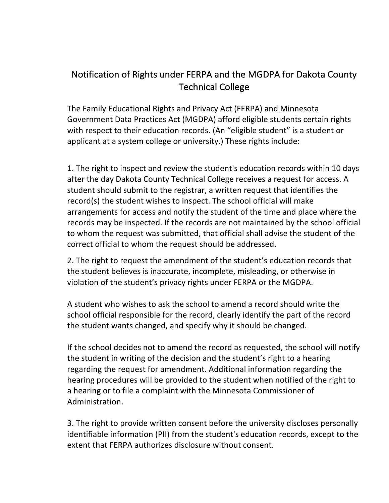## Notification of Rights under FERPA and the MGDPA for Dakota County Technical College

The Family Educational Rights and Privacy Act (FERPA) and Minnesota Government Data Practices Act (MGDPA) afford eligible students certain rights with respect to their education records. (An "eligible student" is a student or applicant at a system college or university.) These rights include:

1. The right to inspect and review the student's education records within 10 days after the day Dakota County Technical College receives a request for access. A student should submit to the registrar, a written request that identifies the  $record(s)$  the student wishes to inspect. The school official will make arrangements for access and notify the student of the time and place where the records may be inspected. If the records are not maintained by the school official to whom the request was submitted, that official shall advise the student of the correct official to whom the request should be addressed.

2. The right to request the amendment of the student's education records that the student believes is inaccurate, incomplete, misleading, or otherwise in violation of the student's privacy rights under FERPA or the MGDPA.

A student who wishes to ask the school to amend a record should write the school official responsible for the record, clearly identify the part of the record the student wants changed, and specify why it should be changed.

If the school decides not to amend the record as requested, the school will notify the student in writing of the decision and the student's right to a hearing regarding the request for amendment. Additional information regarding the hearing procedures will be provided to the student when notified of the right to a hearing or to file a complaint with the Minnesota Commissioner of Administration. 

3. The right to provide written consent before the university discloses personally identifiable information (PII) from the student's education records, except to the extent that FERPA authorizes disclosure without consent.